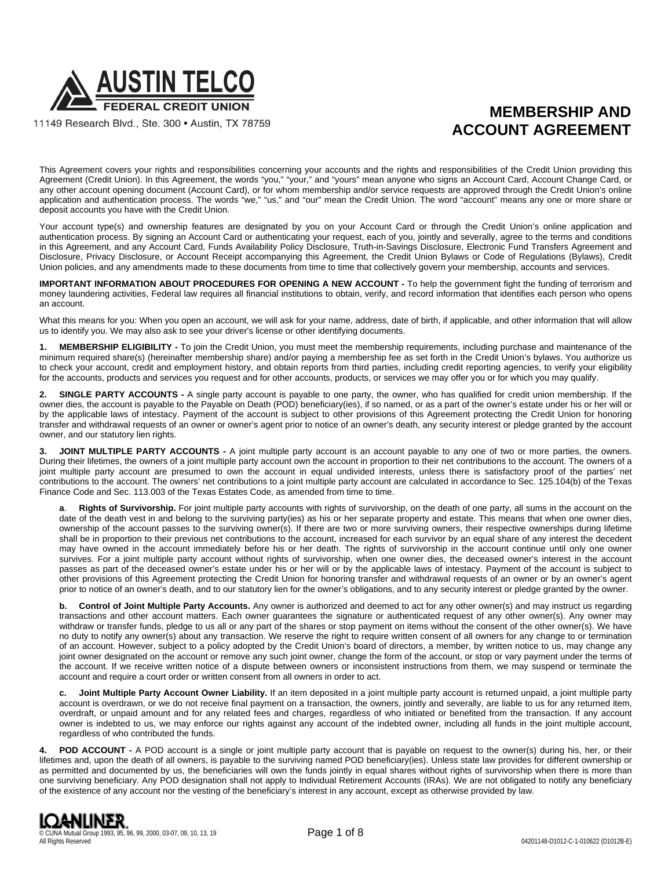

11149 Research Blvd., Ste. 300 · Austin, TX 78759

# **MEMBERSHIP AND ACCOUNT AGREEMENT**

This Agreement covers your rights and responsibilities concerning your accounts and the rights and responsibilities of the Credit Union providing this Agreement (Credit Union). In this Agreement, the words "you," "your," and "yours" mean anyone who signs an Account Card, Account Change Card, or any other account opening document (Account Card), or for whom membership and/or service requests are approved through the Credit Union's online application and authentication process. The words "we," "us," and "our" mean the Credit Union. The word "account" means any one or more share or deposit accounts you have with the Credit Union.

Your account type(s) and ownership features are designated by you on your Account Card or through the Credit Union's online application and authentication process. By signing an Account Card or authenticating your request, each of you, jointly and severally, agree to the terms and conditions in this Agreement, and any Account Card, Funds Availability Policy Disclosure, Truth-in-Savings Disclosure, Electronic Fund Transfers Agreement and Disclosure, Privacy Disclosure, or Account Receipt accompanying this Agreement, the Credit Union Bylaws or Code of Regulations (Bylaws), Credit Union policies, and any amendments made to these documents from time to time that collectively govern your membership, accounts and services.

**IMPORTANT INFORMATION ABOUT PROCEDURES FOR OPENING A NEW ACCOUNT -** To help the government fight the funding of terrorism and money laundering activities, Federal law requires all financial institutions to obtain, verify, and record information that identifies each person who opens an account.

What this means for you: When you open an account, we will ask for your name, address, date of birth, if applicable, and other information that will allow us to identify you. We may also ask to see your driver's license or other identifying documents.

**1. MEMBERSHIP ELIGIBILITY -** To join the Credit Union, you must meet the membership requirements, including purchase and maintenance of the minimum required share(s) (hereinafter membership share) and/or paying a membership fee as set forth in the Credit Union's bylaws. You authorize us to check your account, credit and employment history, and obtain reports from third parties, including credit reporting agencies, to verify your eligibility for the accounts, products and services you request and for other accounts, products, or services we may offer you or for which you may qualify.

**2. SINGLE PARTY ACCOUNTS -** A single party account is payable to one party, the owner, who has qualified for credit union membership. If the owner dies, the account is payable to the Payable on Death (POD) beneficiary(ies), if so named, or as a part of the owner's estate under his or her will or by the applicable laws of intestacy. Payment of the account is subject to other provisions of this Agreement protecting the Credit Union for honoring transfer and withdrawal requests of an owner or owner's agent prior to notice of an owner's death, any security interest or pledge granted by the account owner, and our statutory lien rights.

**3. JOINT MULTIPLE PARTY ACCOUNTS -** A joint multiple party account is an account payable to any one of two or more parties, the owners. During their lifetimes, the owners of a joint multiple party account own the account in proportion to their net contributions to the account. The owners of a joint multiple party account are presumed to own the account in equal undivided interests, unless there is satisfactory proof of the parties' net contributions to the account. The owners' net contributions to a joint multiple party account are calculated in accordance to Sec. 125.104(b) of the Texas Finance Code and Sec. 113.003 of the Texas Estates Code, as amended from time to time.

**a**. **Rights of Survivorship.** For joint multiple party accounts with rights of survivorship, on the death of one party, all sums in the account on the date of the death vest in and belong to the surviving party(ies) as his or her separate property and estate. This means that when one owner dies, ownership of the account passes to the surviving owner(s). If there are two or more surviving owners, their respective ownerships during lifetime shall be in proportion to their previous net contributions to the account, increased for each survivor by an equal share of any interest the decedent may have owned in the account immediately before his or her death. The rights of survivorship in the account continue until only one owner survives. For a joint multiple party account without rights of survivorship, when one owner dies, the deceased owner's interest in the account passes as part of the deceased owner's estate under his or her will or by the applicable laws of intestacy. Payment of the account is subject to other provisions of this Agreement protecting the Credit Union for honoring transfer and withdrawal requests of an owner or by an owner's agent prior to notice of an owner's death, and to our statutory lien for the owner's obligations, and to any security interest or pledge granted by the owner.

**b. Control of Joint Multiple Party Accounts.** Any owner is authorized and deemed to act for any other owner(s) and may instruct us regarding transactions and other account matters. Each owner guarantees the signature or authenticated request of any other owner(s). Any owner may withdraw or transfer funds, pledge to us all or any part of the shares or stop payment on items without the consent of the other owner(s). We have no duty to notify any owner(s) about any transaction. We reserve the right to require written consent of all owners for any change to or termination of an account. However, subject to a policy adopted by the Credit Union's board of directors, a member, by written notice to us, may change any joint owner designated on the account or remove any such joint owner, change the form of the account, or stop or vary payment under the terms of the account. If we receive written notice of a dispute between owners or inconsistent instructions from them, we may suspend or terminate the account and require a court order or written consent from all owners in order to act.

**c. Joint Multiple Party Account Owner Liability.** If an item deposited in a joint multiple party account is returned unpaid, a joint multiple party account is overdrawn, or we do not receive final payment on a transaction, the owners, jointly and severally, are liable to us for any returned item, overdraft, or unpaid amount and for any related fees and charges, regardless of who initiated or benefited from the transaction. If any account owner is indebted to us, we may enforce our rights against any account of the indebted owner, including all funds in the joint multiple account, regardless of who contributed the funds.

**4. POD ACCOUNT -** A POD account is a single or joint multiple party account that is payable on request to the owner(s) during his, her, or their lifetimes and, upon the death of all owners, is payable to the surviving named POD beneficiary(ies). Unless state law provides for different ownership or as permitted and documented by us, the beneficiaries will own the funds jointly in equal shares without rights of survivorship when there is more than one surviving beneficiary. Any POD designation shall not apply to Individual Retirement Accounts (IRAs). We are not obligated to notify any beneficiary of the existence of any account nor the vesting of the beneficiary's interest in any account, except as otherwise provided by law.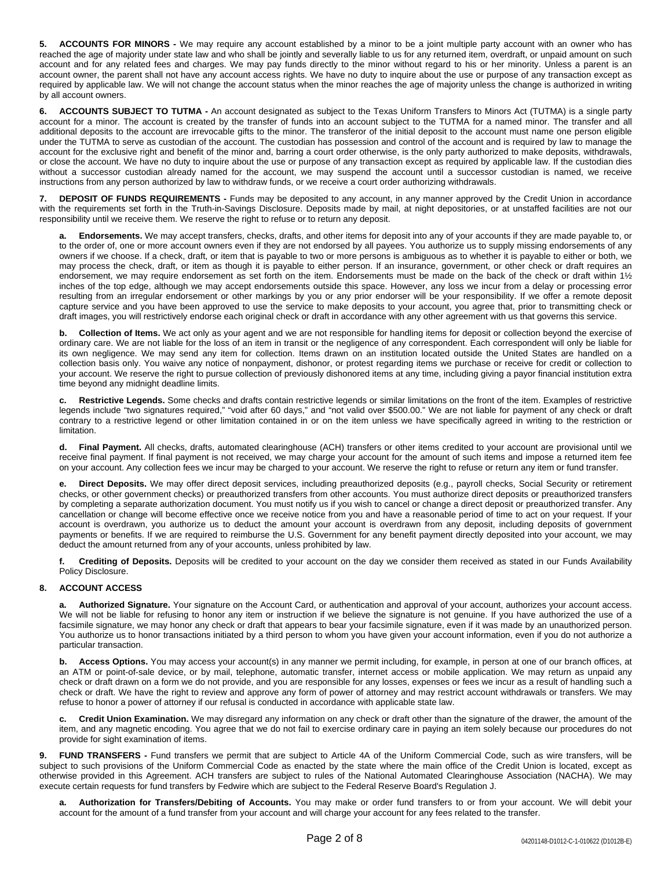**5. ACCOUNTS FOR MINORS -** We may require any account established by a minor to be a joint multiple party account with an owner who has reached the age of majority under state law and who shall be jointly and severally liable to us for any returned item, overdraft, or unpaid amount on such account and for any related fees and charges. We may pay funds directly to the minor without regard to his or her minority. Unless a parent is an account owner, the parent shall not have any account access rights. We have no duty to inquire about the use or purpose of any transaction except as required by applicable law. We will not change the account status when the minor reaches the age of majority unless the change is authorized in writing by all account owners.

**6. ACCOUNTS SUBJECT TO TUTMA -** An account designated as subject to the Texas Uniform Transfers to Minors Act (TUTMA) is a single party account for a minor. The account is created by the transfer of funds into an account subject to the TUTMA for a named minor. The transfer and all additional deposits to the account are irrevocable gifts to the minor. The transferor of the initial deposit to the account must name one person eligible under the TUTMA to serve as custodian of the account. The custodian has possession and control of the account and is required by law to manage the account for the exclusive right and benefit of the minor and, barring a court order otherwise, is the only party authorized to make deposits, withdrawals, or close the account. We have no duty to inquire about the use or purpose of any transaction except as required by applicable law. If the custodian dies without a successor custodian already named for the account, we may suspend the account until a successor custodian is named, we receive instructions from any person authorized by law to withdraw funds, or we receive a court order authorizing withdrawals.

**7. DEPOSIT OF FUNDS REQUIREMENTS -** Funds may be deposited to any account, in any manner approved by the Credit Union in accordance with the requirements set forth in the Truth-in-Savings Disclosure. Deposits made by mail, at night depositories, or at unstaffed facilities are not our responsibility until we receive them. We reserve the right to refuse or to return any deposit.

**a. Endorsements.** We may accept transfers, checks, drafts, and other items for deposit into any of your accounts if they are made payable to, or to the order of, one or more account owners even if they are not endorsed by all payees. You authorize us to supply missing endorsements of any owners if we choose. If a check, draft, or item that is payable to two or more persons is ambiguous as to whether it is payable to either or both, we may process the check, draft, or item as though it is payable to either person. If an insurance, government, or other check or draft requires an endorsement, we may require endorsement as set forth on the item. Endorsements must be made on the back of the check or draft within 1½ inches of the top edge, although we may accept endorsements outside this space. However, any loss we incur from a delay or processing error resulting from an irregular endorsement or other markings by you or any prior endorser will be your responsibility. If we offer a remote deposit capture service and you have been approved to use the service to make deposits to your account, you agree that, prior to transmitting check or draft images, you will restrictively endorse each original check or draft in accordance with any other agreement with us that governs this service.

**b. Collection of Items.** We act only as your agent and we are not responsible for handling items for deposit or collection beyond the exercise of ordinary care. We are not liable for the loss of an item in transit or the negligence of any correspondent. Each correspondent will only be liable for its own negligence. We may send any item for collection. Items drawn on an institution located outside the United States are handled on a collection basis only. You waive any notice of nonpayment, dishonor, or protest regarding items we purchase or receive for credit or collection to your account. We reserve the right to pursue collection of previously dishonored items at any time, including giving a payor financial institution extra time beyond any midnight deadline limits.

**c. Restrictive Legends.** Some checks and drafts contain restrictive legends or similar limitations on the front of the item. Examples of restrictive legends include "two signatures required," "void after 60 days," and "not valid over \$500.00." We are not liable for payment of any check or draft contrary to a restrictive legend or other limitation contained in or on the item unless we have specifically agreed in writing to the restriction or limitation.

**d. Final Payment.** All checks, drafts, automated clearinghouse (ACH) transfers or other items credited to your account are provisional until we receive final payment. If final payment is not received, we may charge your account for the amount of such items and impose a returned item fee on your account. Any collection fees we incur may be charged to your account. We reserve the right to refuse or return any item or fund transfer.

**e. Direct Deposits.** We may offer direct deposit services, including preauthorized deposits (e.g., payroll checks, Social Security or retirement checks, or other government checks) or preauthorized transfers from other accounts. You must authorize direct deposits or preauthorized transfers by completing a separate authorization document. You must notify us if you wish to cancel or change a direct deposit or preauthorized transfer. Any cancellation or change will become effective once we receive notice from you and have a reasonable period of time to act on your request. If your account is overdrawn, you authorize us to deduct the amount your account is overdrawn from any deposit, including deposits of government payments or benefits. If we are required to reimburse the U.S. Government for any benefit payment directly deposited into your account, we may deduct the amount returned from any of your accounts, unless prohibited by law.

**f. Crediting of Deposits.** Deposits will be credited to your account on the day we consider them received as stated in our Funds Availability Policy Disclosure.

## **8. ACCOUNT ACCESS**

**a. Authorized Signature.** Your signature on the Account Card, or authentication and approval of your account, authorizes your account access. We will not be liable for refusing to honor any item or instruction if we believe the signature is not genuine. If you have authorized the use of a facsimile signature, we may honor any check or draft that appears to bear your facsimile signature, even if it was made by an unauthorized person. You authorize us to honor transactions initiated by a third person to whom you have given your account information, even if you do not authorize a particular transaction.

**b. Access Options.** You may access your account(s) in any manner we permit including, for example, in person at one of our branch offices, at an ATM or point-of-sale device, or by mail, telephone, automatic transfer, internet access or mobile application. We may return as unpaid any check or draft drawn on a form we do not provide, and you are responsible for any losses, expenses or fees we incur as a result of handling such a check or draft. We have the right to review and approve any form of power of attorney and may restrict account withdrawals or transfers. We may refuse to honor a power of attorney if our refusal is conducted in accordance with applicable state law.

**c. Credit Union Examination.** We may disregard any information on any check or draft other than the signature of the drawer, the amount of the item, and any magnetic encoding. You agree that we do not fail to exercise ordinary care in paying an item solely because our procedures do not provide for sight examination of items.

**9. FUND TRANSFERS -** Fund transfers we permit that are subject to Article 4A of the Uniform Commercial Code, such as wire transfers, will be subject to such provisions of the Uniform Commercial Code as enacted by the state where the main office of the Credit Union is located, except as otherwise provided in this Agreement. ACH transfers are subject to rules of the National Automated Clearinghouse Association (NACHA). We may execute certain requests for fund transfers by Fedwire which are subject to the Federal Reserve Board's Regulation J.

**a. Authorization for Transfers/Debiting of Accounts.** You may make or order fund transfers to or from your account. We will debit your account for the amount of a fund transfer from your account and will charge your account for any fees related to the transfer.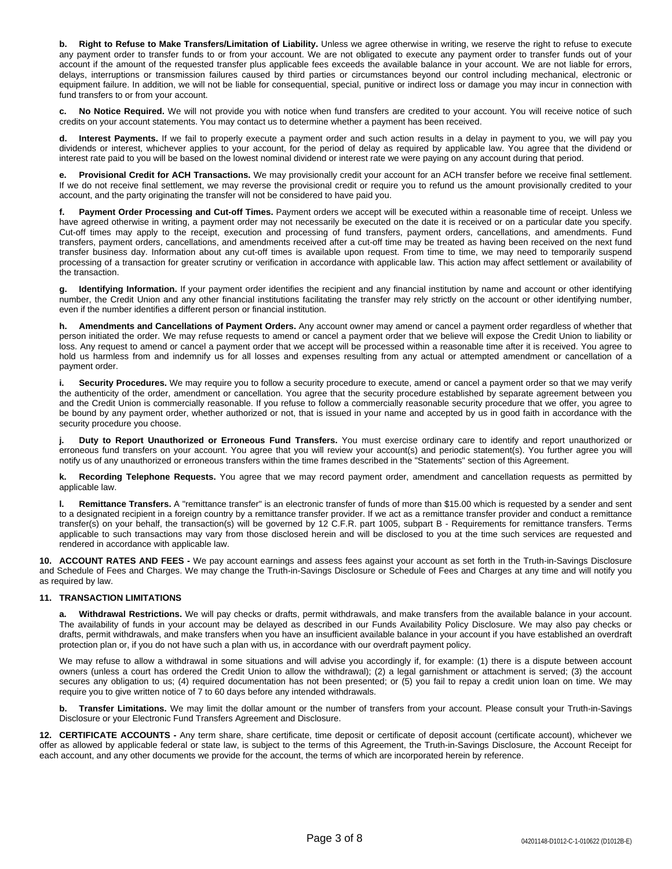**b. Right to Refuse to Make Transfers/Limitation of Liability.** Unless we agree otherwise in writing, we reserve the right to refuse to execute any payment order to transfer funds to or from your account. We are not obligated to execute any payment order to transfer funds out of your account if the amount of the requested transfer plus applicable fees exceeds the available balance in your account. We are not liable for errors, delays, interruptions or transmission failures caused by third parties or circumstances beyond our control including mechanical, electronic or equipment failure. In addition, we will not be liable for consequential, special, punitive or indirect loss or damage you may incur in connection with fund transfers to or from your account.

**c. No Notice Required.** We will not provide you with notice when fund transfers are credited to your account. You will receive notice of such credits on your account statements. You may contact us to determine whether a payment has been received.

Interest Payments. If we fail to properly execute a payment order and such action results in a delay in payment to you, we will pay you dividends or interest, whichever applies to your account, for the period of delay as required by applicable law. You agree that the dividend or interest rate paid to you will be based on the lowest nominal dividend or interest rate we were paying on any account during that period.

**e. Provisional Credit for ACH Transactions.** We may provisionally credit your account for an ACH transfer before we receive final settlement. If we do not receive final settlement, we may reverse the provisional credit or require you to refund us the amount provisionally credited to your account, and the party originating the transfer will not be considered to have paid you.

**f. Payment Order Processing and Cut-off Times.** Payment orders we accept will be executed within a reasonable time of receipt. Unless we have agreed otherwise in writing, a payment order may not necessarily be executed on the date it is received or on a particular date you specify. Cut-off times may apply to the receipt, execution and processing of fund transfers, payment orders, cancellations, and amendments. Fund transfers, payment orders, cancellations, and amendments received after a cut-off time may be treated as having been received on the next fund transfer business day. Information about any cut-off times is available upon request. From time to time, we may need to temporarily suspend processing of a transaction for greater scrutiny or verification in accordance with applicable law. This action may affect settlement or availability of the transaction.

**g. Identifying Information.** If your payment order identifies the recipient and any financial institution by name and account or other identifying number, the Credit Union and any other financial institutions facilitating the transfer may rely strictly on the account or other identifying number, even if the number identifies a different person or financial institution.

**h. Amendments and Cancellations of Payment Orders.** Any account owner may amend or cancel a payment order regardless of whether that person initiated the order. We may refuse requests to amend or cancel a payment order that we believe will expose the Credit Union to liability or loss. Any request to amend or cancel a payment order that we accept will be processed within a reasonable time after it is received. You agree to hold us harmless from and indemnify us for all losses and expenses resulting from any actual or attempted amendment or cancellation of a payment order.

**i. Security Procedures.** We may require you to follow a security procedure to execute, amend or cancel a payment order so that we may verify the authenticity of the order, amendment or cancellation. You agree that the security procedure established by separate agreement between you and the Credit Union is commercially reasonable. If you refuse to follow a commercially reasonable security procedure that we offer, you agree to be bound by any payment order, whether authorized or not, that is issued in your name and accepted by us in good faith in accordance with the security procedure you choose.

**j. Duty to Report Unauthorized or Erroneous Fund Transfers.** You must exercise ordinary care to identify and report unauthorized or erroneous fund transfers on your account. You agree that you will review your account(s) and periodic statement(s). You further agree you will notify us of any unauthorized or erroneous transfers within the time frames described in the "Statements" section of this Agreement.

**k. Recording Telephone Requests.** You agree that we may record payment order, amendment and cancellation requests as permitted by applicable law.

**l. Remittance Transfers.** A "remittance transfer" is an electronic transfer of funds of more than \$15.00 which is requested by a sender and sent to a designated recipient in a foreign country by a remittance transfer provider. If we act as a remittance transfer provider and conduct a remittance transfer(s) on your behalf, the transaction(s) will be governed by 12 C.F.R. part 1005, subpart B - Requirements for remittance transfers. Terms applicable to such transactions may vary from those disclosed herein and will be disclosed to you at the time such services are requested and rendered in accordance with applicable law.

**10. ACCOUNT RATES AND FEES -** We pay account earnings and assess fees against your account as set forth in the Truth-in-Savings Disclosure and Schedule of Fees and Charges. We may change the Truth-in-Savings Disclosure or Schedule of Fees and Charges at any time and will notify you as required by law.

## **11. TRANSACTION LIMITATIONS**

**a. Withdrawal Restrictions.** We will pay checks or drafts, permit withdrawals, and make transfers from the available balance in your account. The availability of funds in your account may be delayed as described in our Funds Availability Policy Disclosure. We may also pay checks or drafts, permit withdrawals, and make transfers when you have an insufficient available balance in your account if you have established an overdraft protection plan or, if you do not have such a plan with us, in accordance with our overdraft payment policy.

We may refuse to allow a withdrawal in some situations and will advise you accordingly if, for example: (1) there is a dispute between account owners (unless a court has ordered the Credit Union to allow the withdrawal); (2) a legal garnishment or attachment is served; (3) the account secures any obligation to us; (4) required documentation has not been presented; or (5) you fail to repay a credit union loan on time. We may require you to give written notice of 7 to 60 days before any intended withdrawals.

**b. Transfer Limitations.** We may limit the dollar amount or the number of transfers from your account. Please consult your Truth-in-Savings Disclosure or your Electronic Fund Transfers Agreement and Disclosure.

**12. CERTIFICATE ACCOUNTS -** Any term share, share certificate, time deposit or certificate of deposit account (certificate account), whichever we offer as allowed by applicable federal or state law, is subject to the terms of this Agreement, the Truth-in-Savings Disclosure, the Account Receipt for each account, and any other documents we provide for the account, the terms of which are incorporated herein by reference.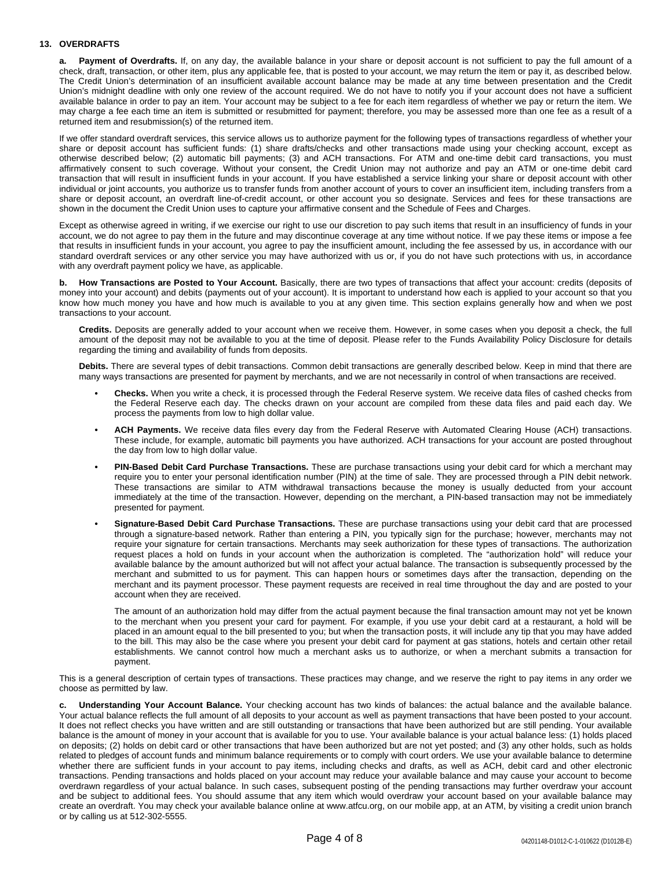### **13. OVERDRAFTS**

**a. Payment of Overdrafts.** If, on any day, the available balance in your share or deposit account is not sufficient to pay the full amount of a check, draft, transaction, or other item, plus any applicable fee, that is posted to your account, we may return the item or pay it, as described below. The Credit Union's determination of an insufficient available account balance may be made at any time between presentation and the Credit Union's midnight deadline with only one review of the account required. We do not have to notify you if your account does not have a sufficient available balance in order to pay an item. Your account may be subject to a fee for each item regardless of whether we pay or return the item. We may charge a fee each time an item is submitted or resubmitted for payment; therefore, you may be assessed more than one fee as a result of a returned item and resubmission(s) of the returned item.

If we offer standard overdraft services, this service allows us to authorize payment for the following types of transactions regardless of whether your share or deposit account has sufficient funds: (1) share drafts/checks and other transactions made using your checking account, except as otherwise described below; (2) automatic bill payments; (3) and ACH transactions. For ATM and one-time debit card transactions, you must affirmatively consent to such coverage. Without your consent, the Credit Union may not authorize and pay an ATM or one-time debit card transaction that will result in insufficient funds in your account. If you have established a service linking your share or deposit account with other individual or joint accounts, you authorize us to transfer funds from another account of yours to cover an insufficient item, including transfers from a share or deposit account, an overdraft line-of-credit account, or other account you so designate. Services and fees for these transactions are shown in the document the Credit Union uses to capture your affirmative consent and the Schedule of Fees and Charges.

Except as otherwise agreed in writing, if we exercise our right to use our discretion to pay such items that result in an insufficiency of funds in your account, we do not agree to pay them in the future and may discontinue coverage at any time without notice. If we pay these items or impose a fee that results in insufficient funds in your account, you agree to pay the insufficient amount, including the fee assessed by us, in accordance with our standard overdraft services or any other service you may have authorized with us or, if you do not have such protections with us, in accordance with any overdraft payment policy we have, as applicable.

**b. How Transactions are Posted to Your Account.** Basically, there are two types of transactions that affect your account: credits (deposits of money into your account) and debits (payments out of your account). It is important to understand how each is applied to your account so that you know how much money you have and how much is available to you at any given time. This section explains generally how and when we post transactions to your account.

**Credits.** Deposits are generally added to your account when we receive them. However, in some cases when you deposit a check, the full amount of the deposit may not be available to you at the time of deposit. Please refer to the Funds Availability Policy Disclosure for details regarding the timing and availability of funds from deposits.

**Debits.** There are several types of debit transactions. Common debit transactions are generally described below. Keep in mind that there are many ways transactions are presented for payment by merchants, and we are not necessarily in control of when transactions are received.

- **• Checks.** When you write a check, it is processed through the Federal Reserve system. We receive data files of cashed checks from the Federal Reserve each day. The checks drawn on your account are compiled from these data files and paid each day. We process the payments from low to high dollar value.
- **• ACH Payments.** We receive data files every day from the Federal Reserve with Automated Clearing House (ACH) transactions. These include, for example, automatic bill payments you have authorized. ACH transactions for your account are posted throughout the day from low to high dollar value.
- **• PIN-Based Debit Card Purchase Transactions.** These are purchase transactions using your debit card for which a merchant may require you to enter your personal identification number (PIN) at the time of sale. They are processed through a PIN debit network. These transactions are similar to ATM withdrawal transactions because the money is usually deducted from your account immediately at the time of the transaction. However, depending on the merchant, a PIN-based transaction may not be immediately presented for payment.
- **• Signature-Based Debit Card Purchase Transactions.** These are purchase transactions using your debit card that are processed through a signature-based network. Rather than entering a PIN, you typically sign for the purchase; however, merchants may not require your signature for certain transactions. Merchants may seek authorization for these types of transactions. The authorization request places a hold on funds in your account when the authorization is completed. The "authorization hold" will reduce your available balance by the amount authorized but will not affect your actual balance. The transaction is subsequently processed by the merchant and submitted to us for payment. This can happen hours or sometimes days after the transaction, depending on the merchant and its payment processor. These payment requests are received in real time throughout the day and are posted to your account when they are received.

The amount of an authorization hold may differ from the actual payment because the final transaction amount may not yet be known to the merchant when you present your card for payment. For example, if you use your debit card at a restaurant, a hold will be placed in an amount equal to the bill presented to you; but when the transaction posts, it will include any tip that you may have added to the bill. This may also be the case where you present your debit card for payment at gas stations, hotels and certain other retail establishments. We cannot control how much a merchant asks us to authorize, or when a merchant submits a transaction for payment.

This is a general description of certain types of transactions. These practices may change, and we reserve the right to pay items in any order we choose as permitted by law.

**c. Understanding Your Account Balance.** Your checking account has two kinds of balances: the actual balance and the available balance. Your actual balance reflects the full amount of all deposits to your account as well as payment transactions that have been posted to your account. It does not reflect checks you have written and are still outstanding or transactions that have been authorized but are still pending. Your available balance is the amount of money in your account that is available for you to use. Your available balance is your actual balance less: (1) holds placed on deposits; (2) holds on debit card or other transactions that have been authorized but are not yet posted; and (3) any other holds, such as holds related to pledges of account funds and minimum balance requirements or to comply with court orders. We use your available balance to determine whether there are sufficient funds in your account to pay items, including checks and drafts, as well as ACH, debit card and other electronic transactions. Pending transactions and holds placed on your account may reduce your available balance and may cause your account to become overdrawn regardless of your actual balance. In such cases, subsequent posting of the pending transactions may further overdraw your account and be subject to additional fees. You should assume that any item which would overdraw your account based on your available balance may create an overdraft. You may check your available balance online at www.atfcu.org, on our mobile app, at an ATM, by visiting a credit union branch or by calling us at 512-302-5555.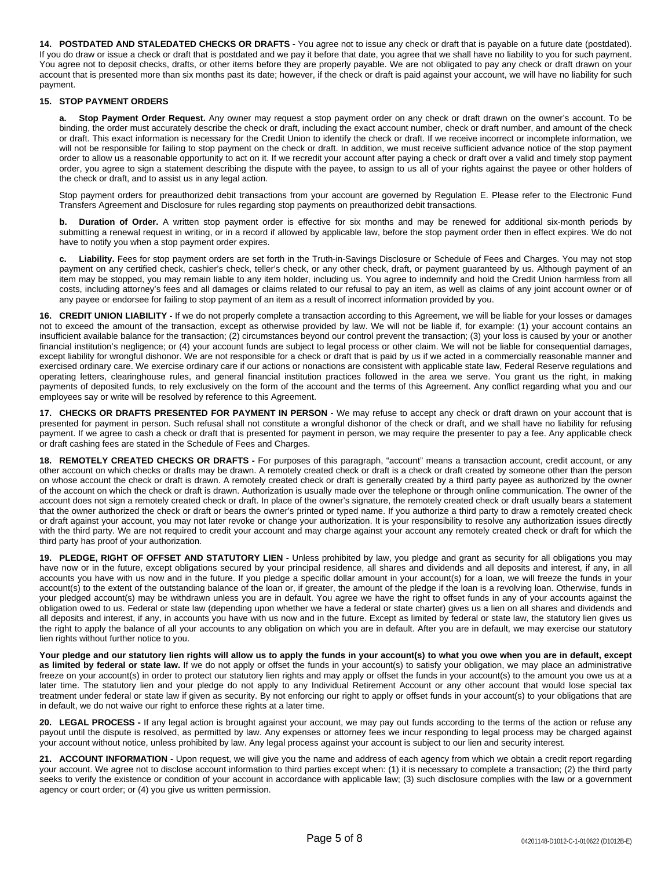**14. POSTDATED AND STALEDATED CHECKS OR DRAFTS -** You agree not to issue any check or draft that is payable on a future date (postdated). If you do draw or issue a check or draft that is postdated and we pay it before that date, you agree that we shall have no liability to you for such payment. You agree not to deposit checks, drafts, or other items before they are properly payable. We are not obligated to pay any check or draft drawn on your account that is presented more than six months past its date; however, if the check or draft is paid against your account, we will have no liability for such payment.

#### **15. STOP PAYMENT ORDERS**

**a. Stop Payment Order Request.** Any owner may request a stop payment order on any check or draft drawn on the owner's account. To be binding, the order must accurately describe the check or draft, including the exact account number, check or draft number, and amount of the check or draft. This exact information is necessary for the Credit Union to identify the check or draft. If we receive incorrect or incomplete information, we will not be responsible for failing to stop payment on the check or draft. In addition, we must receive sufficient advance notice of the stop payment order to allow us a reasonable opportunity to act on it. If we recredit your account after paying a check or draft over a valid and timely stop payment order, you agree to sign a statement describing the dispute with the payee, to assign to us all of your rights against the payee or other holders of the check or draft, and to assist us in any legal action.

Stop payment orders for preauthorized debit transactions from your account are governed by Regulation E. Please refer to the Electronic Fund Transfers Agreement and Disclosure for rules regarding stop payments on preauthorized debit transactions.

**b. Duration of Order.** A written stop payment order is effective for six months and may be renewed for additional six-month periods by submitting a renewal request in writing, or in a record if allowed by applicable law, before the stop payment order then in effect expires. We do not have to notify you when a stop payment order expires.

**c. Liability.** Fees for stop payment orders are set forth in the Truth-in-Savings Disclosure or Schedule of Fees and Charges. You may not stop payment on any certified check, cashier's check, teller's check, or any other check, draft, or payment guaranteed by us. Although payment of an item may be stopped, you may remain liable to any item holder, including us. You agree to indemnify and hold the Credit Union harmless from all costs, including attorney's fees and all damages or claims related to our refusal to pay an item, as well as claims of any joint account owner or of any payee or endorsee for failing to stop payment of an item as a result of incorrect information provided by you.

**16. CREDIT UNION LIABILITY -** If we do not properly complete a transaction according to this Agreement, we will be liable for your losses or damages not to exceed the amount of the transaction, except as otherwise provided by law. We will not be liable if, for example: (1) your account contains an insufficient available balance for the transaction; (2) circumstances beyond our control prevent the transaction; (3) your loss is caused by your or another financial institution's negligence; or (4) your account funds are subject to legal process or other claim. We will not be liable for consequential damages, except liability for wrongful dishonor. We are not responsible for a check or draft that is paid by us if we acted in a commercially reasonable manner and exercised ordinary care. We exercise ordinary care if our actions or nonactions are consistent with applicable state law, Federal Reserve regulations and operating letters, clearinghouse rules, and general financial institution practices followed in the area we serve. You grant us the right, in making payments of deposited funds, to rely exclusively on the form of the account and the terms of this Agreement. Any conflict regarding what you and our employees say or write will be resolved by reference to this Agreement.

**17. CHECKS OR DRAFTS PRESENTED FOR PAYMENT IN PERSON -** We may refuse to accept any check or draft drawn on your account that is presented for payment in person. Such refusal shall not constitute a wrongful dishonor of the check or draft, and we shall have no liability for refusing payment. If we agree to cash a check or draft that is presented for payment in person, we may require the presenter to pay a fee. Any applicable check or draft cashing fees are stated in the Schedule of Fees and Charges.

**18. REMOTELY CREATED CHECKS OR DRAFTS -** For purposes of this paragraph, "account" means a transaction account, credit account, or any other account on which checks or drafts may be drawn. A remotely created check or draft is a check or draft created by someone other than the person on whose account the check or draft is drawn. A remotely created check or draft is generally created by a third party payee as authorized by the owner of the account on which the check or draft is drawn. Authorization is usually made over the telephone or through online communication. The owner of the account does not sign a remotely created check or draft. In place of the owner's signature, the remotely created check or draft usually bears a statement that the owner authorized the check or draft or bears the owner's printed or typed name. If you authorize a third party to draw a remotely created check or draft against your account, you may not later revoke or change your authorization. It is your responsibility to resolve any authorization issues directly with the third party. We are not required to credit your account and may charge against your account any remotely created check or draft for which the third party has proof of your authorization.

**19. PLEDGE, RIGHT OF OFFSET AND STATUTORY LIEN -** Unless prohibited by law, you pledge and grant as security for all obligations you may have now or in the future, except obligations secured by your principal residence, all shares and dividends and all deposits and interest, if any, in all accounts you have with us now and in the future. If you pledge a specific dollar amount in your account(s) for a loan, we will freeze the funds in your account(s) to the extent of the outstanding balance of the loan or, if greater, the amount of the pledge if the loan is a revolving loan. Otherwise, funds in your pledged account(s) may be withdrawn unless you are in default. You agree we have the right to offset funds in any of your accounts against the obligation owed to us. Federal or state law (depending upon whether we have a federal or state charter) gives us a lien on all shares and dividends and all deposits and interest, if any, in accounts you have with us now and in the future. Except as limited by federal or state law, the statutory lien gives us the right to apply the balance of all your accounts to any obligation on which you are in default. After you are in default, we may exercise our statutory lien rights without further notice to you.

Your pledge and our statutory lien rights will allow us to apply the funds in your account(s) to what you owe when you are in default, except **as limited by federal or state law.** If we do not apply or offset the funds in your account(s) to satisfy your obligation, we may place an administrative freeze on your account(s) in order to protect our statutory lien rights and may apply or offset the funds in your account(s) to the amount you owe us at a later time. The statutory lien and your pledge do not apply to any Individual Retirement Account or any other account that would lose special tax treatment under federal or state law if given as security. By not enforcing our right to apply or offset funds in your account(s) to your obligations that are in default, we do not waive our right to enforce these rights at a later time.

**20. LEGAL PROCESS -** If any legal action is brought against your account, we may pay out funds according to the terms of the action or refuse any payout until the dispute is resolved, as permitted by law. Any expenses or attorney fees we incur responding to legal process may be charged against your account without notice, unless prohibited by law. Any legal process against your account is subject to our lien and security interest.

**21. ACCOUNT INFORMATION -** Upon request, we will give you the name and address of each agency from which we obtain a credit report regarding your account. We agree not to disclose account information to third parties except when: (1) it is necessary to complete a transaction; (2) the third party seeks to verify the existence or condition of your account in accordance with applicable law; (3) such disclosure complies with the law or a government agency or court order; or (4) you give us written permission.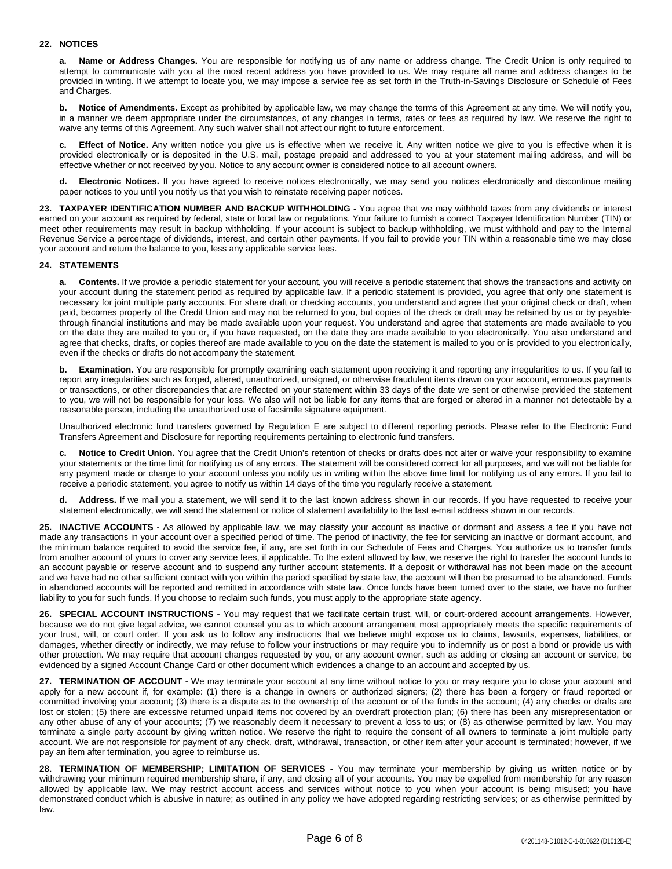#### **22. NOTICES**

**a. Name or Address Changes.** You are responsible for notifying us of any name or address change. The Credit Union is only required to attempt to communicate with you at the most recent address you have provided to us. We may require all name and address changes to be provided in writing. If we attempt to locate you, we may impose a service fee as set forth in the Truth-in-Savings Disclosure or Schedule of Fees and Charges.

**b. Notice of Amendments.** Except as prohibited by applicable law, we may change the terms of this Agreement at any time. We will notify you, in a manner we deem appropriate under the circumstances, of any changes in terms, rates or fees as required by law. We reserve the right to waive any terms of this Agreement. Any such waiver shall not affect our right to future enforcement.

**c. Effect of Notice.** Any written notice you give us is effective when we receive it. Any written notice we give to you is effective when it is provided electronically or is deposited in the U.S. mail, postage prepaid and addressed to you at your statement mailing address, and will be effective whether or not received by you. Notice to any account owner is considered notice to all account owners.

**d. Electronic Notices.** If you have agreed to receive notices electronically, we may send you notices electronically and discontinue mailing paper notices to you until you notify us that you wish to reinstate receiving paper notices.

**23. TAXPAYER IDENTIFICATION NUMBER AND BACKUP WITHHOLDING -** You agree that we may withhold taxes from any dividends or interest earned on your account as required by federal, state or local law or regulations. Your failure to furnish a correct Taxpayer Identification Number (TIN) or meet other requirements may result in backup withholding. If your account is subject to backup withholding, we must withhold and pay to the Internal Revenue Service a percentage of dividends, interest, and certain other payments. If you fail to provide your TIN within a reasonable time we may close your account and return the balance to you, less any applicable service fees.

#### **24. STATEMENTS**

**a. Contents.** If we provide a periodic statement for your account, you will receive a periodic statement that shows the transactions and activity on your account during the statement period as required by applicable law. If a periodic statement is provided, you agree that only one statement is necessary for joint multiple party accounts. For share draft or checking accounts, you understand and agree that your original check or draft, when paid, becomes property of the Credit Union and may not be returned to you, but copies of the check or draft may be retained by us or by payablethrough financial institutions and may be made available upon your request. You understand and agree that statements are made available to you on the date they are mailed to you or, if you have requested, on the date they are made available to you electronically. You also understand and agree that checks, drafts, or copies thereof are made available to you on the date the statement is mailed to you or is provided to you electronically, even if the checks or drafts do not accompany the statement.

**Examination.** You are responsible for promptly examining each statement upon receiving it and reporting any irregularities to us. If you fail to report any irregularities such as forged, altered, unauthorized, unsigned, or otherwise fraudulent items drawn on your account, erroneous payments or transactions, or other discrepancies that are reflected on your statement within 33 days of the date we sent or otherwise provided the statement to you, we will not be responsible for your loss. We also will not be liable for any items that are forged or altered in a manner not detectable by a reasonable person, including the unauthorized use of facsimile signature equipment.

Unauthorized electronic fund transfers governed by Regulation E are subject to different reporting periods. Please refer to the Electronic Fund Transfers Agreement and Disclosure for reporting requirements pertaining to electronic fund transfers.

**c. Notice to Credit Union.** You agree that the Credit Union's retention of checks or drafts does not alter or waive your responsibility to examine your statements or the time limit for notifying us of any errors. The statement will be considered correct for all purposes, and we will not be liable for any payment made or charge to your account unless you notify us in writing within the above time limit for notifying us of any errors. If you fail to receive a periodic statement, you agree to notify us within 14 days of the time you regularly receive a statement.

Address. If we mail you a statement, we will send it to the last known address shown in our records. If you have requested to receive your statement electronically, we will send the statement or notice of statement availability to the last e-mail address shown in our records.

**25. INACTIVE ACCOUNTS -** As allowed by applicable law, we may classify your account as inactive or dormant and assess a fee if you have not made any transactions in your account over a specified period of time. The period of inactivity, the fee for servicing an inactive or dormant account, and the minimum balance required to avoid the service fee, if any, are set forth in our Schedule of Fees and Charges. You authorize us to transfer funds from another account of yours to cover any service fees, if applicable. To the extent allowed by law, we reserve the right to transfer the account funds to an account payable or reserve account and to suspend any further account statements. If a deposit or withdrawal has not been made on the account and we have had no other sufficient contact with you within the period specified by state law, the account will then be presumed to be abandoned. Funds in abandoned accounts will be reported and remitted in accordance with state law. Once funds have been turned over to the state, we have no further liability to you for such funds. If you choose to reclaim such funds, you must apply to the appropriate state agency.

**26. SPECIAL ACCOUNT INSTRUCTIONS -** You may request that we facilitate certain trust, will, or court-ordered account arrangements. However, because we do not give legal advice, we cannot counsel you as to which account arrangement most appropriately meets the specific requirements of your trust, will, or court order. If you ask us to follow any instructions that we believe might expose us to claims, lawsuits, expenses, liabilities, or damages, whether directly or indirectly, we may refuse to follow your instructions or may require you to indemnify us or post a bond or provide us with other protection. We may require that account changes requested by you, or any account owner, such as adding or closing an account or service, be evidenced by a signed Account Change Card or other document which evidences a change to an account and accepted by us.

**27. TERMINATION OF ACCOUNT -** We may terminate your account at any time without notice to you or may require you to close your account and apply for a new account if, for example: (1) there is a change in owners or authorized signers; (2) there has been a forgery or fraud reported or committed involving your account; (3) there is a dispute as to the ownership of the account or of the funds in the account; (4) any checks or drafts are lost or stolen; (5) there are excessive returned unpaid items not covered by an overdraft protection plan; (6) there has been any misrepresentation or any other abuse of any of your accounts; (7) we reasonably deem it necessary to prevent a loss to us; or (8) as otherwise permitted by law. You may terminate a single party account by giving written notice. We reserve the right to require the consent of all owners to terminate a joint multiple party account. We are not responsible for payment of any check, draft, withdrawal, transaction, or other item after your account is terminated; however, if we pay an item after termination, you agree to reimburse us.

**28. TERMINATION OF MEMBERSHIP; LIMITATION OF SERVICES -** You may terminate your membership by giving us written notice or by withdrawing your minimum required membership share, if any, and closing all of your accounts. You may be expelled from membership for any reason allowed by applicable law. We may restrict account access and services without notice to you when your account is being misused; you have demonstrated conduct which is abusive in nature; as outlined in any policy we have adopted regarding restricting services; or as otherwise permitted by law.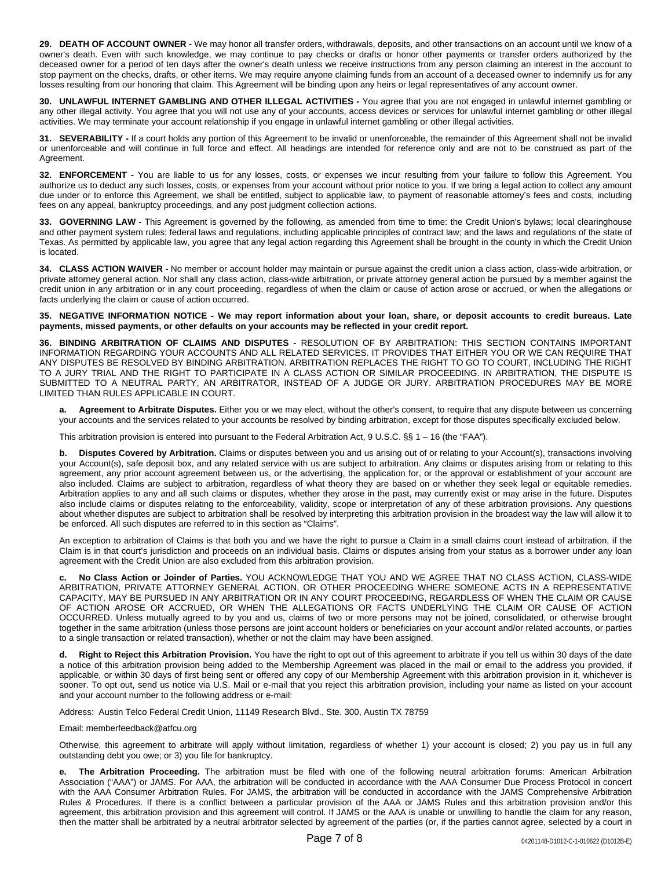**29. DEATH OF ACCOUNT OWNER -** We may honor all transfer orders, withdrawals, deposits, and other transactions on an account until we know of a owner's death. Even with such knowledge, we may continue to pay checks or drafts or honor other payments or transfer orders authorized by the deceased owner for a period of ten days after the owner's death unless we receive instructions from any person claiming an interest in the account to stop payment on the checks, drafts, or other items. We may require anyone claiming funds from an account of a deceased owner to indemnify us for any losses resulting from our honoring that claim. This Agreement will be binding upon any heirs or legal representatives of any account owner.

**30. UNLAWFUL INTERNET GAMBLING AND OTHER ILLEGAL ACTIVITIES -** You agree that you are not engaged in unlawful internet gambling or any other illegal activity. You agree that you will not use any of your accounts, access devices or services for unlawful internet gambling or other illegal activities. We may terminate your account relationship if you engage in unlawful internet gambling or other illegal activities.

**31. SEVERABILITY -** If a court holds any portion of this Agreement to be invalid or unenforceable, the remainder of this Agreement shall not be invalid or unenforceable and will continue in full force and effect. All headings are intended for reference only and are not to be construed as part of the Agreement.

**32. ENFORCEMENT -** You are liable to us for any losses, costs, or expenses we incur resulting from your failure to follow this Agreement. You authorize us to deduct any such losses, costs, or expenses from your account without prior notice to you. If we bring a legal action to collect any amount due under or to enforce this Agreement, we shall be entitled, subject to applicable law, to payment of reasonable attorney's fees and costs, including fees on any appeal, bankruptcy proceedings, and any post judgment collection actions.

**33. GOVERNING LAW -** This Agreement is governed by the following, as amended from time to time: the Credit Union's bylaws; local clearinghouse and other payment system rules; federal laws and regulations, including applicable principles of contract law; and the laws and regulations of the state of Texas. As permitted by applicable law, you agree that any legal action regarding this Agreement shall be brought in the county in which the Credit Union is located.

**34. CLASS ACTION WAIVER -** No member or account holder may maintain or pursue against the credit union a class action, class-wide arbitration, or private attorney general action. Nor shall any class action, class-wide arbitration, or private attorney general action be pursued by a member against the credit union in any arbitration or in any court proceeding, regardless of when the claim or cause of action arose or accrued, or when the allegations or facts underlying the claim or cause of action occurred.

35. NEGATIVE INFORMATION NOTICE - We may report information about your loan, share, or deposit accounts to credit bureaus. Late **payments, missed payments, or other defaults on your accounts may be reflected in your credit report.**

**36. BINDING ARBITRATION OF CLAIMS AND DISPUTES -** RESOLUTION OF BY ARBITRATION: THIS SECTION CONTAINS IMPORTANT INFORMATION REGARDING YOUR ACCOUNTS AND ALL RELATED SERVICES. IT PROVIDES THAT EITHER YOU OR WE CAN REQUIRE THAT ANY DISPUTES BE RESOLVED BY BINDING ARBITRATION. ARBITRATION REPLACES THE RIGHT TO GO TO COURT, INCLUDING THE RIGHT TO A JURY TRIAL AND THE RIGHT TO PARTICIPATE IN A CLASS ACTION OR SIMILAR PROCEEDING. IN ARBITRATION, THE DISPUTE IS SUBMITTED TO A NEUTRAL PARTY, AN ARBITRATOR, INSTEAD OF A JUDGE OR JURY. ARBITRATION PROCEDURES MAY BE MORE LIMITED THAN RULES APPLICABLE IN COURT.

**a. Agreement to Arbitrate Disputes.** Either you or we may elect, without the other's consent, to require that any dispute between us concerning your accounts and the services related to your accounts be resolved by binding arbitration, except for those disputes specifically excluded below.

This arbitration provision is entered into pursuant to the Federal Arbitration Act, 9 U.S.C. §§ 1 – 16 (the "FAA").

**b. Disputes Covered by Arbitration.** Claims or disputes between you and us arising out of or relating to your Account(s), transactions involving your Account(s), safe deposit box, and any related service with us are subject to arbitration. Any claims or disputes arising from or relating to this agreement, any prior account agreement between us, or the advertising, the application for, or the approval or establishment of your account are also included. Claims are subject to arbitration, regardless of what theory they are based on or whether they seek legal or equitable remedies. Arbitration applies to any and all such claims or disputes, whether they arose in the past, may currently exist or may arise in the future. Disputes also include claims or disputes relating to the enforceability, validity, scope or interpretation of any of these arbitration provisions. Any questions about whether disputes are subject to arbitration shall be resolved by interpreting this arbitration provision in the broadest way the law will allow it to be enforced. All such disputes are referred to in this section as "Claims".

An exception to arbitration of Claims is that both you and we have the right to pursue a Claim in a small claims court instead of arbitration, if the Claim is in that court's jurisdiction and proceeds on an individual basis. Claims or disputes arising from your status as a borrower under any loan agreement with the Credit Union are also excluded from this arbitration provision.

**c. No Class Action or Joinder of Parties.** YOU ACKNOWLEDGE THAT YOU AND WE AGREE THAT NO CLASS ACTION, CLASS-WIDE ARBITRATION, PRIVATE ATTORNEY GENERAL ACTION, OR OTHER PROCEEDING WHERE SOMEONE ACTS IN A REPRESENTATIVE CAPACITY, MAY BE PURSUED IN ANY ARBITRATION OR IN ANY COURT PROCEEDING, REGARDLESS OF WHEN THE CLAIM OR CAUSE OF ACTION AROSE OR ACCRUED, OR WHEN THE ALLEGATIONS OR FACTS UNDERLYING THE CLAIM OR CAUSE OF ACTION OCCURRED. Unless mutually agreed to by you and us, claims of two or more persons may not be joined, consolidated, or otherwise brought together in the same arbitration (unless those persons are joint account holders or beneficiaries on your account and/or related accounts, or parties to a single transaction or related transaction), whether or not the claim may have been assigned.

**d. Right to Reject this Arbitration Provision.** You have the right to opt out of this agreement to arbitrate if you tell us within 30 days of the date a notice of this arbitration provision being added to the Membership Agreement was placed in the mail or email to the address you provided, if applicable, or within 30 days of first being sent or offered any copy of our Membership Agreement with this arbitration provision in it, whichever is sooner. To opt out, send us notice via U.S. Mail or e-mail that you reject this arbitration provision, including your name as listed on your account and your account number to the following address or e-mail:

Address: Austin Telco Federal Credit Union, 11149 Research Blvd., Ste. 300, Austin TX 78759

Email: memberfeedback@atfcu.org

Otherwise, this agreement to arbitrate will apply without limitation, regardless of whether 1) your account is closed; 2) you pay us in full any outstanding debt you owe; or 3) you file for bankruptcy.

**e. The Arbitration Proceeding.** The arbitration must be filed with one of the following neutral arbitration forums: American Arbitration Association ("AAA") or JAMS. For AAA, the arbitration will be conducted in accordance with the AAA Consumer Due Process Protocol in concert with the AAA Consumer Arbitration Rules. For JAMS, the arbitration will be conducted in accordance with the JAMS Comprehensive Arbitration Rules & Procedures. If there is a conflict between a particular provision of the AAA or JAMS Rules and this arbitration provision and/or this agreement, this arbitration provision and this agreement will control. If JAMS or the AAA is unable or unwilling to handle the claim for any reason, then the matter shall be arbitrated by a neutral arbitrator selected by agreement of the parties (or, if the parties cannot agree, selected by a court in